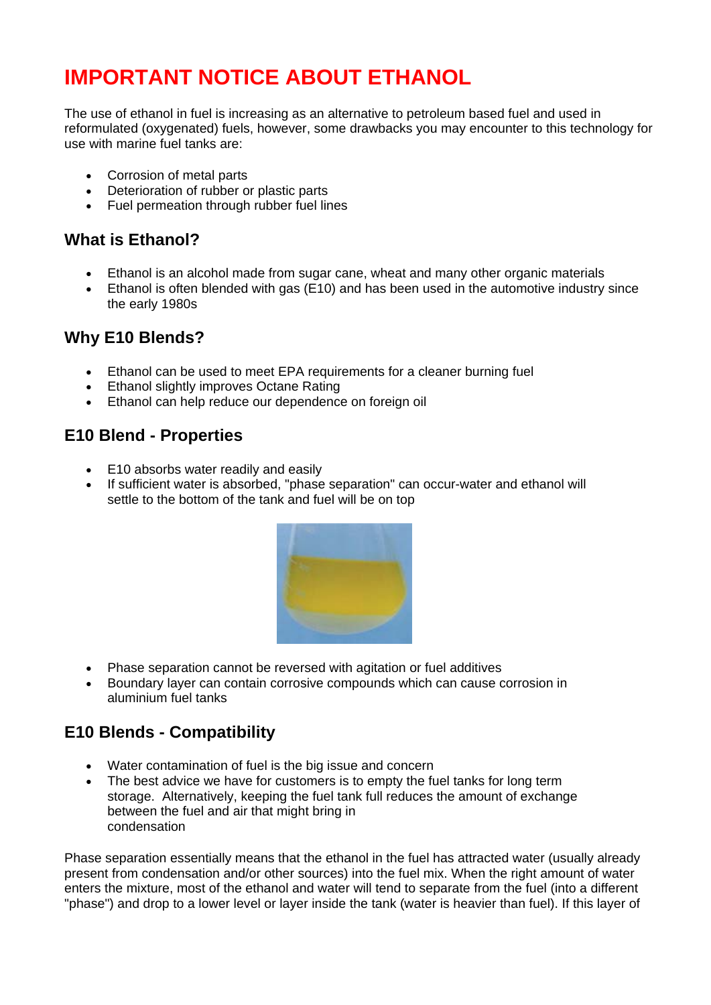# **IMPORTANT NOTICE ABOUT ETHANOL**

The use of ethanol in fuel is increasing as an alternative to petroleum based fuel and used in reformulated (oxygenated) fuels, however, some drawbacks you may encounter to this technology for use with marine fuel tanks are:

- Corrosion of metal parts
- Deterioration of rubber or plastic parts
- Fuel permeation through rubber fuel lines

## **What is Ethanol?**

- Ethanol is an alcohol made from sugar cane, wheat and many other organic materials
- Ethanol is often blended with gas (E10) and has been used in the automotive industry since the early 1980s

#### **Why E10 Blends?**

- Ethanol can be used to meet EPA requirements for a cleaner burning fuel
- Ethanol slightly improves Octane Rating
- Ethanol can help reduce our dependence on foreign oil

## **E10 Blend - Properties**

- E10 absorbs water readily and easily
- If sufficient water is absorbed, "phase separation" can occur-water and ethanol will settle to the bottom of the tank and fuel will be on top



- Phase separation cannot be reversed with agitation or fuel additives
- Boundary layer can contain corrosive compounds which can cause corrosion in aluminium fuel tanks

# **E10 Blends - Compatibility**

- Water contamination of fuel is the big issue and concern
- The best advice we have for customers is to empty the fuel tanks for long term storage. Alternatively, keeping the fuel tank full reduces the amount of exchange between the fuel and air that might bring in condensation

Phase separation essentially means that the ethanol in the fuel has attracted water (usually already present from condensation and/or other sources) into the fuel mix. When the right amount of water enters the mixture, most of the ethanol and water will tend to separate from the fuel (into a different "phase") and drop to a lower level or layer inside the tank (water is heavier than fuel). If this layer of